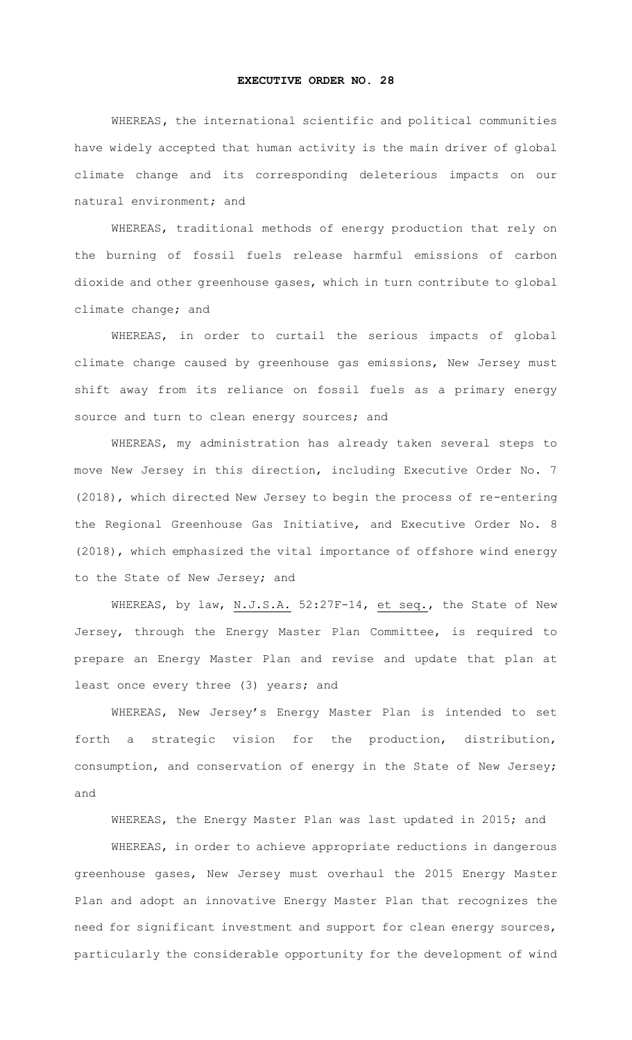## **EXECUTIVE ORDER NO. 28**

WHEREAS**,** the international scientific and political communities have widely accepted that human activity is the main driver of global climate change and its corresponding deleterious impacts on our natural environment; and

WHEREAS, traditional methods of energy production that rely on the burning of fossil fuels release harmful emissions of carbon dioxide and other greenhouse gases, which in turn contribute to global climate change; and

WHEREAS, in order to curtail the serious impacts of global climate change caused by greenhouse gas emissions, New Jersey must shift away from its reliance on fossil fuels as a primary energy source and turn to clean energy sources; and

WHEREAS, my administration has already taken several steps to move New Jersey in this direction, including Executive Order No. 7 (2018), which directed New Jersey to begin the process of re-entering the Regional Greenhouse Gas Initiative, and Executive Order No. 8 (2018), which emphasized the vital importance of offshore wind energy to the State of New Jersey; and

WHEREAS, by law, N.J.S.A. 52:27F-14, et seq., the State of New Jersey, through the Energy Master Plan Committee, is required to prepare an Energy Master Plan and revise and update that plan at least once every three (3) years; and

WHEREAS, New Jersey's Energy Master Plan is intended to set forth a strategic vision for the production, distribution, consumption, and conservation of energy in the State of New Jersey; and

WHEREAS, the Energy Master Plan was last updated in 2015; and

WHEREAS, in order to achieve appropriate reductions in dangerous greenhouse gases, New Jersey must overhaul the 2015 Energy Master Plan and adopt an innovative Energy Master Plan that recognizes the need for significant investment and support for clean energy sources, particularly the considerable opportunity for the development of wind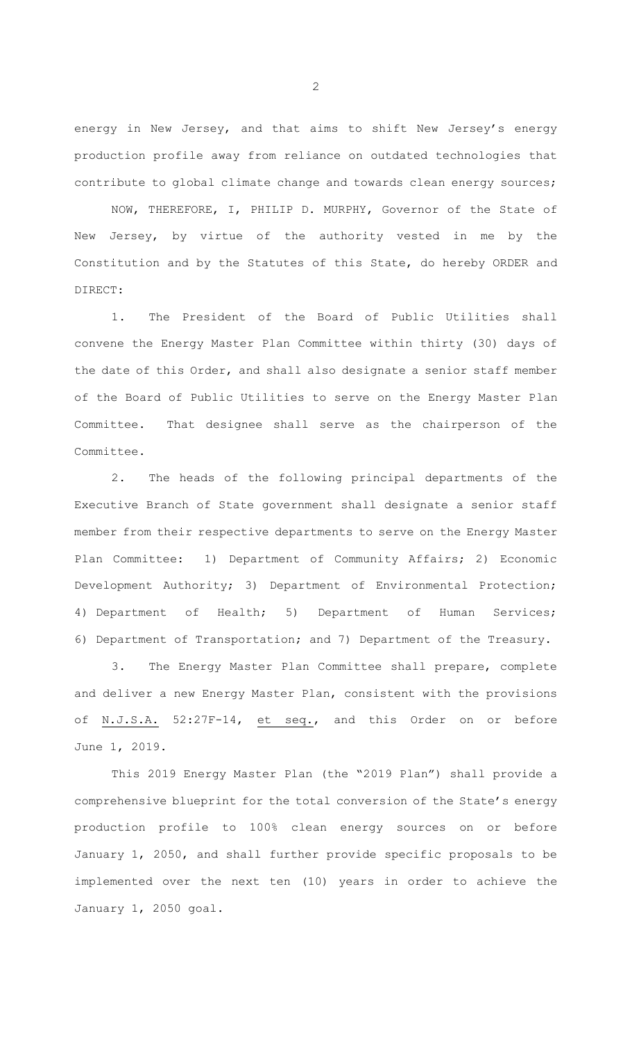energy in New Jersey, and that aims to shift New Jersey's energy production profile away from reliance on outdated technologies that contribute to global climate change and towards clean energy sources;

NOW, THEREFORE, I, PHILIP D. MURPHY, Governor of the State of New Jersey, by virtue of the authority vested in me by the Constitution and by the Statutes of this State, do hereby ORDER and DIRECT:

1. The President of the Board of Public Utilities shall convene the Energy Master Plan Committee within thirty (30) days of the date of this Order, and shall also designate a senior staff member of the Board of Public Utilities to serve on the Energy Master Plan Committee. That designee shall serve as the chairperson of the Committee.

2. The heads of the following principal departments of the Executive Branch of State government shall designate a senior staff member from their respective departments to serve on the Energy Master Plan Committee: 1) Department of Community Affairs; 2) Economic Development Authority; 3) Department of Environmental Protection; 4) Department of Health; 5) Department of Human Services; 6) Department of Transportation; and 7) Department of the Treasury.

3. The Energy Master Plan Committee shall prepare, complete and deliver a new Energy Master Plan, consistent with the provisions of N.J.S.A. 52:27F-14, et seq., and this Order on or before June 1, 2019.

This 2019 Energy Master Plan (the "2019 Plan") shall provide a comprehensive blueprint for the total conversion of the State's energy production profile to 100% clean energy sources on or before January 1, 2050, and shall further provide specific proposals to be implemented over the next ten (10) years in order to achieve the January 1, 2050 goal.

2